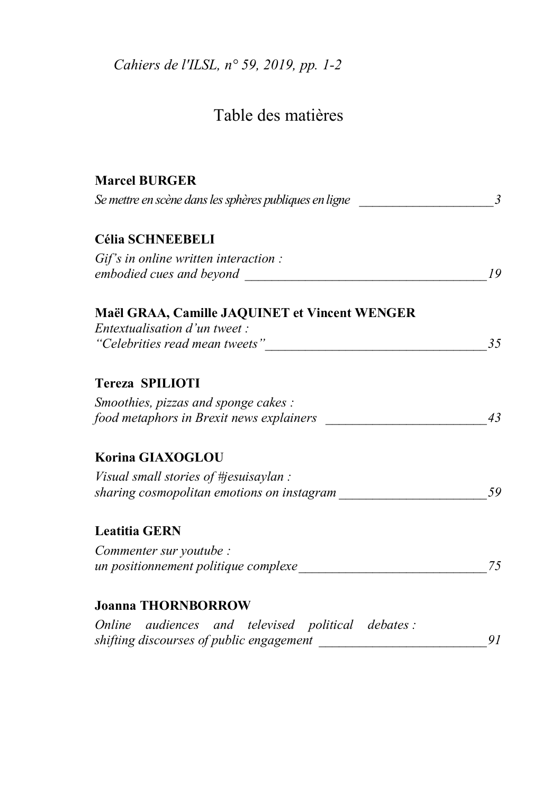Cahiers de l'ILSL, nº 59, 2019, pp. 1-2

## Table des matières

| <b>Marcel BURGER</b>                                                                     |    |
|------------------------------------------------------------------------------------------|----|
| Se mettre en scène dans les sphères publiques en ligne                                   |    |
| <b>Célia SCHNEEBELI</b>                                                                  |    |
| $Gi f's$ in online written interaction :<br>embodied cues and beyond                     | 19 |
| Maël GRAA, Camille JAQUINET et Vincent WENGER                                            |    |
| Entextualisation d'un tweet :<br>"Celebrities read mean tweets"                          | 35 |
| Tereza SPILIOTI                                                                          |    |
| Smoothies, pizzas and sponge cakes :<br>food metaphors in Brexit news explainers         | 43 |
| Korina GIAXOGLOU                                                                         |    |
| Visual small stories of $\#$ jesuisaylan :<br>sharing cosmopolitan emotions on instagram | 59 |
| <b>Leatitia GERN</b>                                                                     |    |
| Commenter sur youtube :<br>un positionnement politique complexe                          | 75 |
| <b>Joanna THORNBORROW</b>                                                                |    |
| Online audiences and televised political debates:                                        | 91 |